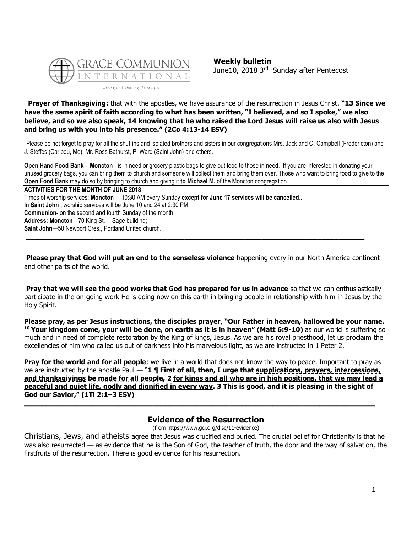

# **Prayer of Thanksgiving:** that with the apostles, we have assurance of the resurrection in Jesus Christ. **"13 Since we have the same spirit of faith according to what has been written, "I believed, and so I spoke," we also believe, and so we also speak, 14 knowing that he who raised the Lord Jesus will raise us also with Jesus and bring us with you into his presence." (2Co 4:13-14 ESV)**

Please do not forget to pray for all the shut-ins and isolated brothers and sisters in our congregations Mrs. Jack and C. Campbell (Fredericton) and J. Steffes (Caribou, Me), Mr. Ross Bathurst, P. Ward (Saint John) and others.

**Open Hand Food Bank – Moncton** - is in need or grocery plastic bags to give out food to those in need. If you are interested in donating your unused grocery bags, you can bring them to church and someone will collect them and bring them over. Those who want to bring food to give to the **Open Food Bank** may do so by bringing to church and giving it **to Michael M.** of the Moncton congregation.

**ACTIVITIES FOR THE MONTH OF JUNE 2018** Times of worship services: **Moncton** – 10:30 AM every Sunday **except for June 17 services will be cancelled**.. **In Saint John** , worship services will be June 10 and 24 at 2:30 PM **Communion**- on the second and fourth Sunday of the month. **Address: Moncton**—70 King St. —Sage building; **Saint John**—50 Newport Cres., Portland United church.

**Please pray that God will put an end to the senseless violence** happening every in our North America continent and other parts of the world.

**\_\_\_\_\_\_\_\_\_\_\_\_\_\_\_\_\_\_\_\_\_\_\_\_\_\_\_\_\_\_\_\_\_\_\_\_\_\_\_\_\_\_\_\_\_\_\_\_\_\_\_\_\_\_\_\_\_\_\_\_\_\_\_\_\_\_\_\_\_\_\_\_\_\_\_\_\_\_\_**

**Pray that we will see the good works that God has prepared for us in advance** so that we can enthusiastically participate in the on-going work He is doing now on this earth in bringing people in relationship with him in Jesus by the Holy Spirit.

**Please pray, as per Jesus instructions, the disciples prayer**, **"Our Father in heaven, hallowed be your name. <sup>10</sup> Your kingdom come, your will be done, on earth as it is in heaven" (Matt 6:9-10)** as our world is suffering so much and in need of complete restoration by the King of kings, Jesus. As we are his royal priesthood, let us proclaim the excellencies of him who called us out of darkness into his marvelous light, as we are instructed in 1 Peter 2.

**Pray for the world and for all people**: we live in a world that does not know the way to peace. Important to pray as we are instructed by the apostle Paul — "1 **¶ First of all, then, I urge that supplications, prayers, intercessions, and thanksgivings be made for all people, 2 for kings and all who are in high positions, that we may lead a peaceful and quiet life, godly and dignified in every way. 3 This is good, and it is pleasing in the sight of God our Savior," (1Ti 2:1–3 ESV)**

# **Evidence of the Resurrection**

**\_\_\_\_\_\_\_\_\_\_\_\_\_\_\_\_\_\_\_\_\_\_\_\_\_\_\_\_\_\_\_\_\_\_\_\_\_\_\_\_\_\_\_\_\_\_\_\_\_\_\_\_\_\_\_\_\_\_\_\_\_\_\_\_\_\_\_\_\_\_\_\_\_\_\_\_\_\_\_\_\_\_**

(from https://www.gci.org/disc/11-evidence)

Christians, Jews, and atheists agree that Jesus was crucified and buried. The crucial belief for Christianity is that he was also resurrected — as evidence that he is the Son of God, the teacher of truth, the door and the way of salvation, the firstfruits of the resurrection. There is good evidence for his resurrection.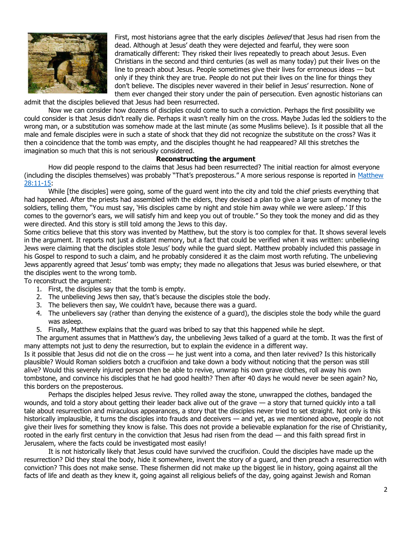

First, most historians agree that the early disciples *believed* that Jesus had risen from the dead. Although at Jesus' death they were dejected and fearful, they were soon dramatically different: They risked their lives repeatedly to preach about Jesus. Even Christians in the second and third centuries (as well as many today) put their lives on the line to preach about Jesus. People sometimes give their lives for erroneous ideas — but only if they think they are true. People do not put their lives on the line for things they don't believe. The disciples never wavered in their belief in Jesus' resurrection. None of them ever changed their story under the pain of persecution. Even agnostic historians can

admit that the disciples believed that Jesus had been resurrected.

Now we can consider how dozens of disciples could come to such a conviction. Perhaps the first possibility we could consider is that Jesus didn't really die. Perhaps it wasn't really him on the cross. Maybe Judas led the soldiers to the wrong man, or a substitution was somehow made at the last minute (as some Muslims believe). Is it possible that all the male and female disciples were in such a state of shock that they did not recognize the substitute on the cross? Was it then a coincidence that the tomb was empty, and the disciples thought he had reappeared? All this stretches the imagination so much that this is not seriously considered.

#### **Reconstructing the argument**

How did people respond to the claims that Jesus had been resurrected? The initial reaction for almost everyone (including the disciples themselves) was probably "That's preposterous." A more serious response is reported in [Matthew](https://biblia.com/bible/niv/Matt%2028.11-15)  [28:11-15:](https://biblia.com/bible/niv/Matt%2028.11-15)

While [the disciples] were going, some of the guard went into the city and told the chief priests everything that had happened. After the priests had assembled with the elders, they devised a plan to give a large sum of money to the soldiers, telling them, "You must say, 'His disciples came by night and stole him away while we were asleep.' If this comes to the governor's ears, we will satisfy him and keep you out of trouble." So they took the money and did as they were directed. And this story is still told among the Jews to this day.

Some critics believe that this story was invented by Matthew, but the story is too complex for that. It shows several levels in the argument. It reports not just a distant memory, but a fact that could be verified when it was written: unbelieving Jews were claiming that the disciples stole Jesus' body while the guard slept. Matthew probably included this passage in his Gospel to respond to such a claim, and he probably considered it as the claim most worth refuting. The unbelieving Jews apparently agreed that Jesus' tomb was empty; they made no allegations that Jesus was buried elsewhere, or that the disciples went to the wrong tomb.

To reconstruct the argument:

- 1. First, the disciples say that the tomb is empty.
- 2. The unbelieving Jews then say, that's because the disciples stole the body.
- 3. The believers then say, We couldn't have, because there was a guard.
- 4. The unbelievers say (rather than denying the existence of a guard), the disciples stole the body while the guard was asleep.
- 5. Finally, Matthew explains that the guard was bribed to say that this happened while he slept.

The argument assumes that in Matthew's day, the unbelieving Jews talked of a guard at the tomb. It was the first of many attempts not just to deny the resurrection, but to explain the evidence in a different way.

Is it possible that Jesus did not die on the cross — he just went into a coma, and then later revived? Is this historically plausible? Would Roman soldiers botch a crucifixion and take down a body without noticing that the person was still alive? Would this severely injured person then be able to revive, unwrap his own grave clothes, roll away his own tombstone, and convince his disciples that he had good health? Then after 40 days he would never be seen again? No, this borders on the preposterous.

Perhaps the disciples helped Jesus revive. They rolled away the stone, unwrapped the clothes, bandaged the wounds, and told a story about getting their leader back alive out of the grave — a story that turned quickly into a tall tale about resurrection and miraculous appearances, a story that the disciples never tried to set straight. Not only is this historically implausible, it turns the disciples into frauds and deceivers — and yet, as we mentioned above, people do not give their lives for something they know is false. This does not provide a believable explanation for the rise of Christianity, rooted in the early first century in the conviction that Jesus had risen from the dead — and this faith spread first in Jerusalem, where the facts could be investigated most easily!

It is not historically likely that Jesus could have survived the crucifixion. Could the disciples have made up the resurrection? Did they steal the body, hide it somewhere, invent the story of a guard, and then preach a resurrection with conviction? This does not make sense. These fishermen did not make up the biggest lie in history, going against all the facts of life and death as they knew it, going against all religious beliefs of the day, going against Jewish and Roman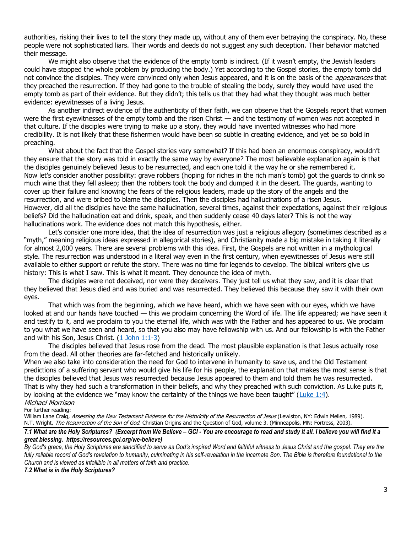authorities, risking their lives to tell the story they made up, without any of them ever betraying the conspiracy. No, these people were not sophisticated liars. Their words and deeds do not suggest any such deception. Their behavior matched their message.

We might also observe that the evidence of the empty tomb is indirect. (If it wasn't empty, the Jewish leaders could have stopped the whole problem by producing the body.) Yet according to the Gospel stories, the empty tomb did not convince the disciples. They were convinced only when Jesus appeared, and it is on the basis of the *appearances* that they preached the resurrection. If they had gone to the trouble of stealing the body, surely they would have used the empty tomb as part of their evidence. But they didn't; this tells us that they had what they thought was much better evidence: eyewitnesses of a living Jesus.

As another indirect evidence of the authenticity of their faith, we can observe that the Gospels report that women were the first eyewitnesses of the empty tomb and the risen Christ — and the testimony of women was not accepted in that culture. If the disciples were trying to make up a story, they would have invented witnesses who had more credibility. It is not likely that these fishermen would have been so subtle in creating evidence, and yet be so bold in preaching.

What about the fact that the Gospel stories vary somewhat? If this had been an enormous conspiracy, wouldn't they ensure that the story was told in exactly the same way by everyone? The most believable explanation again is that the disciples genuinely believed Jesus to be resurrected, and each one told it the way he or she remembered it. Now let's consider another possibility: grave robbers (hoping for riches in the rich man's tomb) got the guards to drink so much wine that they fell asleep; then the robbers took the body and dumped it in the desert. The guards, wanting to cover up their failure and knowing the fears of the religious leaders, made up the story of the angels and the resurrection, and were bribed to blame the disciples. Then the disciples had hallucinations of a risen Jesus. However, did all the disciples have the same hallucination, several times, against their expectations, against their religious beliefs? Did the hallucination eat and drink, speak, and then suddenly cease 40 days later? This is not the way hallucinations work. The evidence does not match this hypothesis, either.

Let's consider one more idea, that the idea of resurrection was just a religious allegory (sometimes described as a "myth," meaning religious ideas expressed in allegorical stories), and Christianity made a big mistake in taking it literally for almost 2,000 years. There are several problems with this idea. First, the Gospels are not written in a mythological style. The resurrection was understood in a literal way even in the first century, when eyewitnesses of Jesus were still available to either support or refute the story. There was no time for legends to develop. The biblical writers give us history: This is what I saw. This is what it meant. They denounce the idea of myth.

The disciples were not deceived, nor were they deceivers. They just tell us what they saw, and it is clear that they believed that Jesus died and was buried and was resurrected. They believed this because they saw it with their own eyes.

That which was from the beginning, which we have heard, which we have seen with our eyes, which we have looked at and our hands have touched — this we proclaim concerning the Word of life. The life appeared; we have seen it and testify to it, and we proclaim to you the eternal life, which was with the Father and has appeared to us. We proclaim to you what we have seen and heard, so that you also may have fellowship with us. And our fellowship is with the Father and with his Son, Jesus Christ. [\(1 John 1:1-3\)](https://biblia.com/bible/niv/1%20John%201.1-3)

The disciples believed that Jesus rose from the dead. The most plausible explanation is that Jesus actually rose from the dead. All other theories are far-fetched and historically unlikely.

When we also take into consideration the need for God to intervene in humanity to save us, and the Old Testament predictions of a suffering servant who would give his life for his people, the explanation that makes the most sense is that the disciples believed that Jesus was resurrected because Jesus appeared to them and told them he was resurrected. That is why they had such a transformation in their beliefs, and why they preached with such conviction. As Luke puts it, by looking at the evidence we "may know the certainty of the things we have been taught" ([Luke 1:4\)](https://biblia.com/bible/niv/Luke%201.4).

Michael Morrison For further reading:

William Lane Craig, Assessing the New Testament Evidence for the Historicity of the Resurrection of Jesus (Lewiston, NY: Edwin Mellen, 1989). N.T. Wright, The Resurrection of the Son of God. Christian Origins and the Question of God, volume 3. (Minneapolis, MN: Fortress, 2003).

*7.1 What are the Holy Scriptures? (Excerpt from We Believe – GCI - You are encourage to read and study it all. I believe you will find it a great blessing. https://resources.gci.org/we-believe)*

*By God's grace, the Holy Scriptures are sanctified to serve as God's inspired Word and faithful witness to Jesus Christ and the gospel. They are the*  fully reliable record of God's revelation to humanity, culminating in his self-revelation in the incarnate Son. The Bible is therefore foundational to the *Church and is viewed as infallible in all matters of faith and practice.*

*7.2 What is in the Holy Scriptures?*